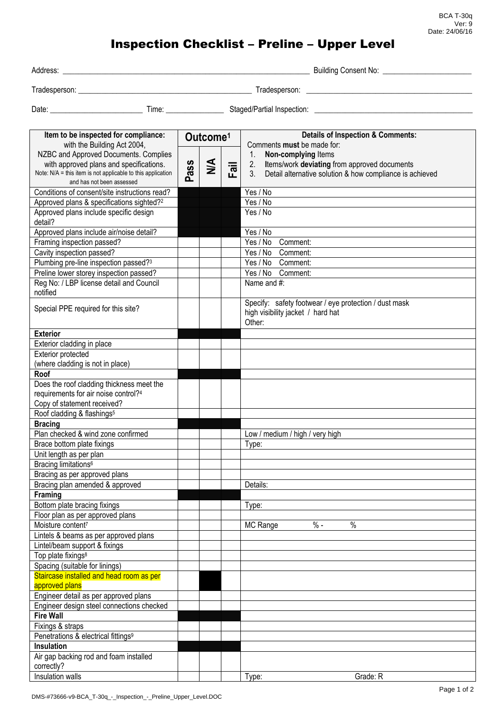## Inspection Checklist – Preline – Upper Level

| Address:      | <b>Building Consent No:</b> |
|---------------|-----------------------------|
| Tradesperson: | radesperson:                |

Date: \_\_\_\_\_\_\_\_\_\_\_\_\_\_\_\_\_\_\_\_\_\_\_\_ Time: \_\_\_\_\_\_\_\_\_\_\_\_\_\_\_ Staged/Partial Inspection: \_\_\_\_\_\_\_\_\_\_\_\_\_\_\_\_\_\_\_\_\_\_\_\_\_\_\_\_\_\_\_\_\_\_\_\_\_\_\_\_\_

| Item to be inspected for compliance:<br>with the Building Act 2004,                |      | Outcome <sup>1</sup> |      | <b>Details of Inspection &amp; Comments:</b><br>Comments must be made for: |
|------------------------------------------------------------------------------------|------|----------------------|------|----------------------------------------------------------------------------|
| NZBC and Approved Documents. Complies                                              |      |                      |      | Non-complying Items<br>1.                                                  |
| with approved plans and specifications.                                            |      | $\leq$               |      | 2.<br>Items/work deviating from approved documents                         |
| Note: N/A = this item is not applicable to this application                        | Pass |                      | Fail | 3 <sub>1</sub><br>Detail alternative solution & how compliance is achieved |
| and has not been assessed                                                          |      |                      |      |                                                                            |
| Conditions of consent/site instructions read?                                      |      |                      |      | Yes / No                                                                   |
| Approved plans & specifications sighted? <sup>2</sup>                              |      |                      |      | Yes / No                                                                   |
| Approved plans include specific design<br>detail?                                  |      |                      |      | Yes / No                                                                   |
| Approved plans include air/noise detail?                                           |      |                      |      | Yes / No                                                                   |
| Framing inspection passed?                                                         |      |                      |      | Yes / No<br>Comment:                                                       |
| Cavity inspection passed?                                                          |      |                      |      | Yes / No<br>Comment:                                                       |
| Plumbing pre-line inspection passed? <sup>3</sup>                                  |      |                      |      | Comment:<br>Yes / No                                                       |
|                                                                                    |      |                      |      | Yes / No<br>Comment:                                                       |
| Preline lower storey inspection passed?                                            |      |                      |      | Name and #:                                                                |
| Reg No: / LBP license detail and Council<br>notified                               |      |                      |      |                                                                            |
| Special PPE required for this site?                                                |      |                      |      | Specify: safety footwear / eye protection / dust mask                      |
|                                                                                    |      |                      |      | high visibility jacket / hard hat                                          |
|                                                                                    |      |                      |      | Other:                                                                     |
| <b>Exterior</b>                                                                    |      |                      |      |                                                                            |
| Exterior cladding in place                                                         |      |                      |      |                                                                            |
| Exterior protected                                                                 |      |                      |      |                                                                            |
| (where cladding is not in place)                                                   |      |                      |      |                                                                            |
| Roof                                                                               |      |                      |      |                                                                            |
| Does the roof cladding thickness meet the                                          |      |                      |      |                                                                            |
| requirements for air noise control?4                                               |      |                      |      |                                                                            |
| Copy of statement received?                                                        |      |                      |      |                                                                            |
| Roof cladding & flashings <sup>5</sup>                                             |      |                      |      |                                                                            |
| <b>Bracing</b>                                                                     |      |                      |      |                                                                            |
| Plan checked & wind zone confirmed                                                 |      |                      |      | Low / medium / high / very high                                            |
| Brace bottom plate fixings                                                         |      |                      |      | Type:                                                                      |
| Unit length as per plan                                                            |      |                      |      |                                                                            |
| Bracing limitations <sup>6</sup>                                                   |      |                      |      |                                                                            |
| Bracing as per approved plans                                                      |      |                      |      |                                                                            |
| Bracing plan amended & approved                                                    |      |                      |      | Details:                                                                   |
| <b>Framing</b>                                                                     |      |                      |      |                                                                            |
| Bottom plate bracing fixings                                                       |      |                      |      | Type:                                                                      |
| Floor plan as per approved plans                                                   |      |                      |      |                                                                            |
| Moisture content <sup>7</sup>                                                      |      |                      |      | $\%$ -<br>$\%$<br>MC Range                                                 |
| Lintels & beams as per approved plans                                              |      |                      |      |                                                                            |
| Lintel/beam support & fixings                                                      |      |                      |      |                                                                            |
| Top plate fixings <sup>8</sup>                                                     |      |                      |      |                                                                            |
| Spacing (suitable for linings)                                                     |      |                      |      |                                                                            |
| Staircase installed and head room as per                                           |      |                      |      |                                                                            |
| approved plans                                                                     |      |                      |      |                                                                            |
| Engineer detail as per approved plans<br>Engineer design steel connections checked |      |                      |      |                                                                            |
|                                                                                    |      |                      |      |                                                                            |
| <b>Fire Wall</b>                                                                   |      |                      |      |                                                                            |
| Fixings & straps                                                                   |      |                      |      |                                                                            |
| Penetrations & electrical fittings <sup>9</sup>                                    |      |                      |      |                                                                            |
| Insulation                                                                         |      |                      |      |                                                                            |
| Air gap backing rod and foam installed                                             |      |                      |      |                                                                            |
| correctly?                                                                         |      |                      |      |                                                                            |
| Insulation walls                                                                   |      |                      |      | Grade: R<br>Type:                                                          |